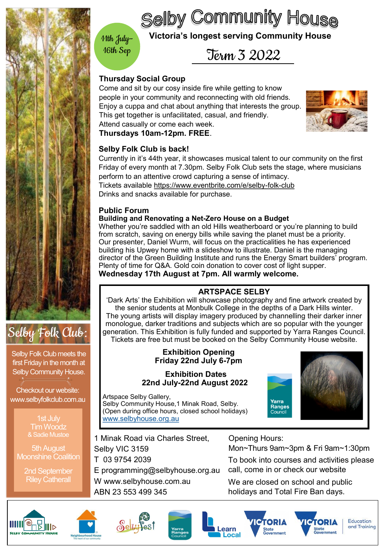<span id="page-0-0"></span>

# Selby Folk Club:

Selby Folk Club meets the first Friday in the month at Selby Community House.

Checkout our website: www.selbyfolkclub.com.au

> 1st July Tim Woodz & Sadie Mustoe

5th August Moonshine Coalition

> 2nd September Riley Catherall

## **Wictoria's longest serving Community House**

**Selby Community House** 

Term 3 2022

## **Thursday Social Group**

16th Sep

Come and sit by our cosy inside fire while getting to know people in your community and reconnecting with old friends. Enjoy a cuppa and chat about anything that interests the group. This get together is unfacilitated, casual, and friendly. Attend casually or come each week.

**Thursdays 10am-12pm. FREE**.

## **Selby Folk Club is back!**

Currently in it's 44th year, it showcases musical talent to our community on the inst<br>Friday of every month at 7.30pm. Selby Folk Club sets the stage, where musicians perform to an attentive crowd capturing a sense of intimacy. Drinks and snacks available for purchase. Currently in it's 44th year, it showcases musical talent to our community on the first Tickets available [https://www.eventbrite.com/e/selby](#page-0-0)-folk-club

### **Public Forum**

#### **Building and Renovating a Net-Zero House on a Budget**

Whether you're saddled with an old Hills weatherboard or you're planning to build from scratch, saving on energy bills while saving the planet must be a priority. Our presenter, Daniel Wurm, will focus on the practicalities he has experienced building his Upwey home with a slideshow to illustrate. Daniel is the managing director of the Green Building Institute and runs the Energy Smart builders' program. Plenty of time for Q&A. Gold coin donation to cover cost of light supper. **Wednesday 17th August at 7pm. All warmly welcome.**

### **ARTSPACE SELBY**

'Dark Arts' the Exhibition will showcase photography and fine artwork created by the senior students at Monbulk College in the depths of a Dark Hills winter. The young artists will display imagery produced by channelling their darker inner monologue, darker traditions and subjects which are so popular with the younger generation. This Exhibition is fully funded and supported by Yarra Ranges Council. Tickets are free but must be booked on the Selby Community House website.

#### **Exhibition Opening Friday 22nd July 6-7pm**

#### **Exhibition Dates 22nd July-22nd August 2022**

Artspace Selby Gallery, Selby Community House,1 Minak Road, Selby. (Open during office hours, closed school holidays) [www.selbyhouse.org.au](#page-0-0)

1 Minak Road via Charles Street, Selby VIC 3159 T 03 9754 2039 E programming@selbyhouse.org.au W www.selbyhouse.com.au ABN 23 553 499 345

Opening Hours:

Mon~Thurs 9am~3pm & Fri 9am~1:30pm

To book into courses and activities please call, come in or check our website

We are closed on school and public holidays and Total Fire Ban days.

**ІСТОРІ** 

**State** 

Yarra Ranges











Education and Training

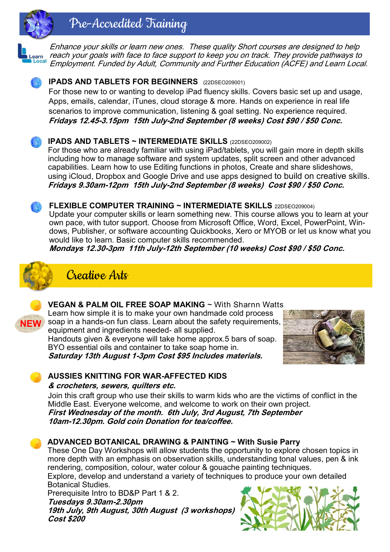# Pre-Accredited Training



Enhance your skills or learn new ones. These quality Short courses are designed to help reach your goals with face to face support to keep you on track. They provide pathways to Learn<br>**DLocal** Employment. Funded by Adult, Community and Further Education (ACFE) and Learn Local.

## **IPADS AND TABLETS FOR BEGINNERS** (22DSEO209001)

For those new to or wanting to develop iPad fluency skills. Covers basic set up and usage, Apps, emails, calendar, iTunes, cloud storage & more. Hands on experience in real life scenarios to improve communication, listening & goal setting. No experience required. **Fridays 12.45-3.15pm 15th July-2nd September (8 weeks) Cost \$90 / \$50 Conc.**

## **IPADS AND TABLETS ~ INTERMEDIATE SKILLS** (22DSEO209002)

For those who are already familiar with using iPad/tablets, you will gain more in depth skills including how to manage software and system updates, split screen and other advanced capabilities. Learn how to use Editing functions in photos, Create and share slideshows, using iCloud, Dropbox and Google Drive and use apps designed to build on creative skills. **Fridays 9.30am-12pm 15th July-2nd September (8 weeks) Cost \$90 / \$50 Conc.**

#### **FLEXIBLE COMPUTER TRAINING ~ INTERMEDIATE SKILLS** 22DSEO209004)

Update your computer skills or learn something new. This course allows you to learn at your own pace, with tutor support. Choose from Microsoft Office, Word, Excel, PowerPoint, Windows, Publisher, or software accounting Quickbooks, Xero or MYOB or let us know what you would like to learn. Basic computer skills recommended.

**Mondays 12.30-3pm 11th July-12th September (10 weeks) Cost \$90 / \$50 Conc.**







### **VEGAN & PALM OIL FREE SOAP MAKING** ~ With Sharnn Watts

Learn how simple it is to make your own handmade cold process soap in a hands-on fun class. Learn about the safety requirements, **NEW** equipment and ingredients needed- all supplied.

Handouts given & everyone will take home approx.5 bars of soap. BYO essential oils and container to take soap home in.



**Saturday 13th August 1-3pm Cost \$95 Includes materials.** 

### **AUSSIES KNITTING FOR WAR-AFFECTED KIDS**

#### **& crocheters, sewers, quilters etc.**

Join this craft group who use their skills to warm kids who are the victims of conflict in the Middle East. Everyone welcome, and welcome to work on their own project. **First Wednesday of the month. 6th July, 3rd August, 7th September 10am-12.30pm. Gold coin Donation for tea/coffee.** 

### **ADVANCED BOTANICAL DRAWING & PAINTING ~ With Susie Parry**

These One Day Workshops will allow students the opportunity to explore chosen topics in more depth with an emphasis on observation skills, understanding tonal values, pen & ink rendering, composition, colour, water colour & gouache painting techniques.

Explore, develop and understand a variety of techniques to produce your own detailed Botanical Studies.

Prerequisite Intro to BD&P Part 1 & 2. **Tuesdays 9.30am-2.30pm 19th July, 9th August, 30th August (3 workshops) Cost \$200**

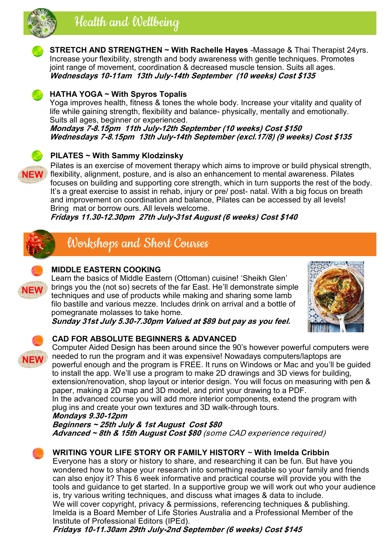

# Health and Wellbeing



**STRETCH AND STRENGTHEN ~ With Rachelle Hayes** -Massage & Thai Therapist 24yrs. Increase your flexibility, strength and body awareness with gentle techniques. Promotes joint range of movement, coordination & decreased muscle tension. Suits all ages. **Wednesdays 10-11am 13th July-14th September (10 weeks) Cost \$135** 



#### **HATHA YOGA ~ With Spyros Topalis**

Yoga improves health, fitness & tones the whole body. Increase your vitality and quality of life while gaining strength, flexibility and balance- physically, mentally and emotionally. Suits all ages, beginner or experienced.

**Mondays 7-8.15pm 11th July-12th September (10 weeks) Cost \$150 Wednesdays 7-8.15pm 13th July-14th September (excl.17/8) (9 weeks) Cost \$135**

### **PILATES ~ With Sammy Klodzinsky**



**NEW** flexibility, alignment, posture, and is also an enhancement to mental awareness. Pilates Pilates is an exercise of movement therapy which aims to improve or build physical strength, focuses on building and supporting core strength, which in turn supports the rest of the body. It's a great exercise to assist in rehab, injury or pre/ post- natal. With a big focus on breath and improvement on coordination and balance, Pilates can be accessed by all levels! Bring mat or borrow ours. All levels welcome.

**Fridays 11.30-12.30pm 27th July-31st August (6 weeks) Cost \$140** 



## Workshops and Short Courses



### **MIDDLE EASTERN COOKING**

Learn the basics of Middle Eastern (Ottoman) cuisine! 'Sheikh Glen' brings you the (not so) secrets of the far East. He'll demonstrate simple techniques and use of products while making and sharing some lamb filo bastille and various mezze. Includes drink on arrival and a bottle of pomegranate molasses to take home.



**Sunday 31st July 5.30-7.30pm Valued at \$89 but pay as you feel.**

# **NEW**

#### **CAD FOR ABSOLUTE BEGINNERS & ADVANCED**

Computer Aided Design has been around since the 90's however powerful computers were needed to run the program and it was expensive! Nowadays computers/laptops are powerful enough and the program is FREE. It runs on Windows or Mac and you'll be guided to install the app. We'll use a program to make 2D drawings and 3D views for building, extension/renovation, shop layout or interior design. You will focus on measuring with pen & paper, making a 2D map and 3D model, and print your drawing to a PDF.

In the advanced course you will add more interior components, extend the program with plug ins and create your own textures and 3D walk-through tours.

**Mondays 9.30-12pm** 

**Beginners ~ 25th July & 1st August Cost \$80 Advanced ~ 8th & 15th August Cost \$80** (some CAD experience required)



#### **WRITING YOUR LIFE STORY OR FAMILY HISTORY** ~ **With Imelda Cribbin**

Everyone has a story or history to share, and researching it can be fun. But have you wondered how to shape your research into something readable so your family and friends can also enjoy it? This 6 week informative and practical course will provide you with the tools and guidance to get started. In a supportive group we will work out who your audience is, try various writing techniques, and discuss what images & data to include. We will cover copyright, privacy & permissions, referencing techniques & publishing. Imelda is a Board Member of Life Stories Australia and a Professional Member of the Institute of Professional Editors (IPEd).

**Fridays 10-11.30am 29th July-2nd September (6 weeks) Cost \$145**